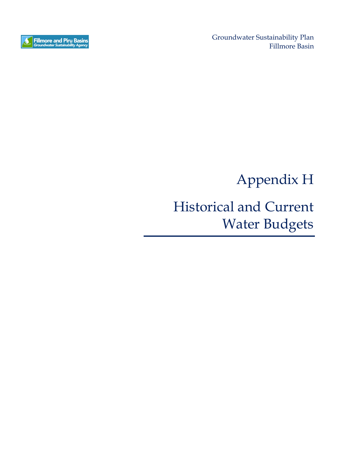

Groundwater Sustainability Plan Fillmore Basin

Appendix H

## Historical and Current Water Budgets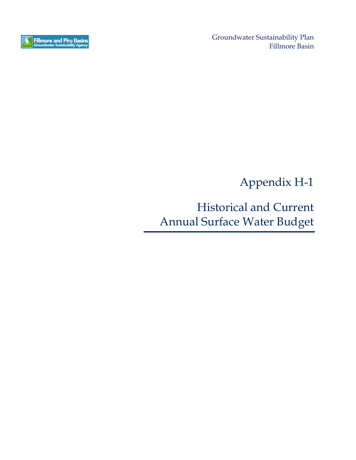

Groundwater Sustainability Plan Fillmore Basin

Appendix H-1

Historical and Current Annual Surface Water Budget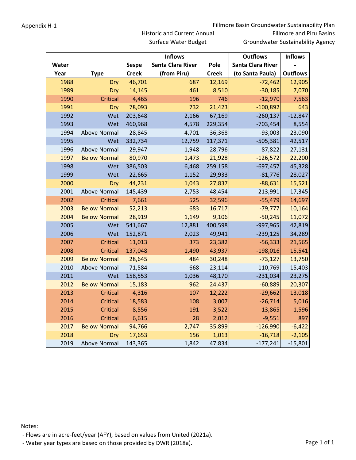|       |                     |              | <b>Inflows</b>    | <b>Outflows</b> | <b>Inflows</b>           |                 |  |
|-------|---------------------|--------------|-------------------|-----------------|--------------------------|-----------------|--|
| Water |                     | <b>Sespe</b> | Santa Clara River | Pole            | <b>Santa Clara River</b> |                 |  |
| Year  | <b>Type</b>         | <b>Creek</b> | (from Piru)       | <b>Creek</b>    | (to Santa Paula)         | <b>Outflows</b> |  |
| 1988  | Dry                 | 46,701       | 687               | 12,169          | $-72,462$                | 12,905          |  |
| 1989  | Dry                 | 14,145       | 461               | 8,510           | $-30,185$                | 7,070           |  |
| 1990  | <b>Critical</b>     | 4,465        | 196               | 746             | $-12,970$                | 7,563           |  |
| 1991  | Dry                 | 78,093       | 732               | 21,423          | $-100,892$               | 643             |  |
| 1992  | Wet                 | 203,648      | 2,166             | 67,169          | $-260,137$               | $-12,847$       |  |
| 1993  | Wet                 | 460,968      | 4,578             | 229,354         | $-703,454$               | 8,554           |  |
| 1994  | Above Normal        | 28,845       | 4,701             | 36,368          | $-93,003$                | 23,090          |  |
| 1995  | Wet                 | 332,734      | 12,759            | 117,371         | $-505,381$               | 42,517          |  |
| 1996  | Above Normal        | 29,947       | 1,948             | 28,796          | $-87,822$                | 27,131          |  |
| 1997  | <b>Below Normal</b> | 80,970       | 1,473             | 21,928          | $-126,572$               | 22,200          |  |
| 1998  | Wet                 | 386,503      | 6,468             | 259,158         | $-697,457$               | 45,328          |  |
| 1999  | Wet                 | 22,665       | 1,152             | 29,933          | $-81,776$                | 28,027          |  |
| 2000  | Dry                 | 44,231       | 1,043             | 27,837          | $-88,631$                | 15,521          |  |
| 2001  | <b>Above Normal</b> | 145,439      | 2,753             | 48,454          | $-213,991$               | 17,345          |  |
| 2002  | Critical            | 7,661        | 525               | 32,596          | $-55,479$                | 14,697          |  |
| 2003  | <b>Below Normal</b> | 52,213       | 683               | 16,717          | $-79,777$                | 10,164          |  |
| 2004  | <b>Below Normal</b> | 28,919       | 1,149             | 9,106           | $-50,245$                | 11,072          |  |
| 2005  | Wet                 | 541,667      | 12,881            | 400,598         | $-997,965$               | 42,819          |  |
| 2006  | Wet                 | 152,871      | 2,023             | 49,941          | $-239,125$               | 34,289          |  |
| 2007  | Critical            | 11,013       | 373               | 23,382          | $-56,333$                | 21,565          |  |
| 2008  | <b>Critical</b>     | 137,048      | 1,490             | 43,937          | $-198,016$               | 15,541          |  |
| 2009  | <b>Below Normal</b> | 28,645       | 484               | 30,248          | $-73,127$                | 13,750          |  |
| 2010  | Above Normal        | 71,584       | 668               | 23,114          | $-110,769$               | 15,403          |  |
| 2011  | Wet                 | 158,553      | 1,036             | 48,170          | $-231,034$               | 23,275          |  |
| 2012  | <b>Below Normal</b> | 15,183       | 962               | 24,437          | $-60,889$                | 20,307          |  |
| 2013  | Critical            | 4,316        | 107               | 12,222          | $-29,662$                | 13,018          |  |
| 2014  | Critical            | 18,583       | 108               | 3,007           | $-26,714$                | 5,016           |  |
| 2015  | <b>Critical</b>     | 8,556        | 191               | 3,522           | $-13,865$                | 1,596           |  |
| 2016  | Critical            | 6,615        | 28                | 2,012           | $-9,551$                 | 897             |  |
| 2017  | <b>Below Normal</b> | 94,766       | 2,747             | 35,899          | $-126,990$               | $-6,422$        |  |
| 2018  | Dry                 | 17,653       | 156               | 1,013           | $-16,718$                | $-2,105$        |  |
| 2019  | Above Normal        | 143,365      | 1,842             | 47,834          | $-177,241$               | $-15,801$       |  |

Surface Water Budget

Notes:

‐ Flows are in acre‐feet/year (AFY), based on values from United (2021a).

- Water year types are based on those provided by DWR (2018a). The example of 1 and 2018a and 2018a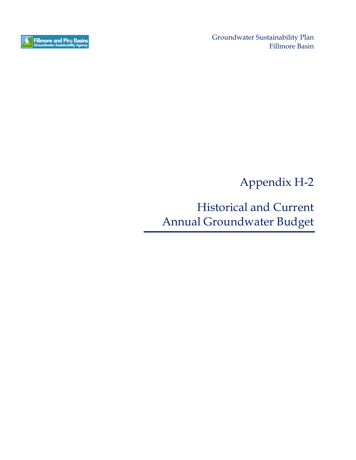

Groundwater Sustainability Plan Fillmore Basin

Appendix H-2

Historical and Current Annual Groundwater Budget